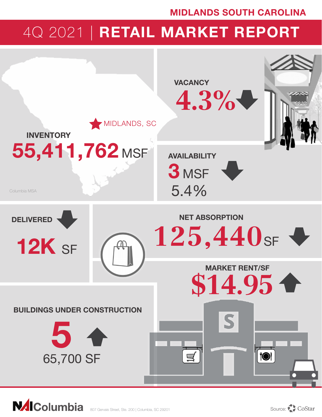# MIDLANDS SOUTH CAROLINA

# 4Q 2021 | RETAIL MARKET REPORT



**NAIColumbia**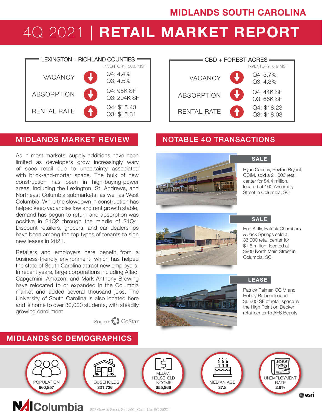# 4Q 2021 | RETAIL MARKET REPORT



## MIDLANDS MARKET REVIEW NOTABLE 4Q TRANSACTIONS

As in most markets, supply additions have been limited as developers grow increasingly wary of spec retail due to uncertainty associated with brick-and-mortar space. The bulk of new construction has been in high-buying-power areas, including the Lexington, St. Andrews, and Northeast Columbia submarkets, as well as West Columbia. While the slowdown in construction has helped keep vacancies low and rent growth stable, demand has begun to return and absorption was positive in 21Q2 through the middle of 21Q4. Discount retailers, grocers, and car dealerships have been among the top types of tenants to sign new leases in 2021.

Retailers and employers here benefit from a business-friendly environment, which has helped the state of South Carolina attract new employers. In recent years, large corporations including Aflac, Capgemini, Amazon, and Mark Anthony Brewing have relocated to or expanded in the Columbia market and added several thousand jobs. The University of South Carolina is also located here and is home to over 30,000 students, with steadily growing enrollment.

MIDLANDS SC DEMOGRAPHICS

Source: CoStar

### RENTAL RATE ABSORPTION Q4: \$18.23 Q3: \$18.03 Q4: 44K SF Q3: 66K SF Q4: 3.7% VACANCY  $Q4: 3.7\%$ CBD + FOREST ACRES INVENTORY: 50.6 MSF INVENTORY: 6.9 MSF



SALE

Ryan Causey, Peyton Bryant, CCIM, sold a 21,000 retail center for \$4.4 million, located at 100 Assembly Street in Columbia, SC





### **SALE**

Ben Kelly, Patrick Chambers & Jack Springs sold a 36,000 retail center for \$1.6 million, located at 3900 North Main Street in Columbia, SC

LEASE

Patrick Palmer, CCIM and Bobby Balboni leased 36,600 SF of retail space in the High Point on Decker retail center to AFS Beauty